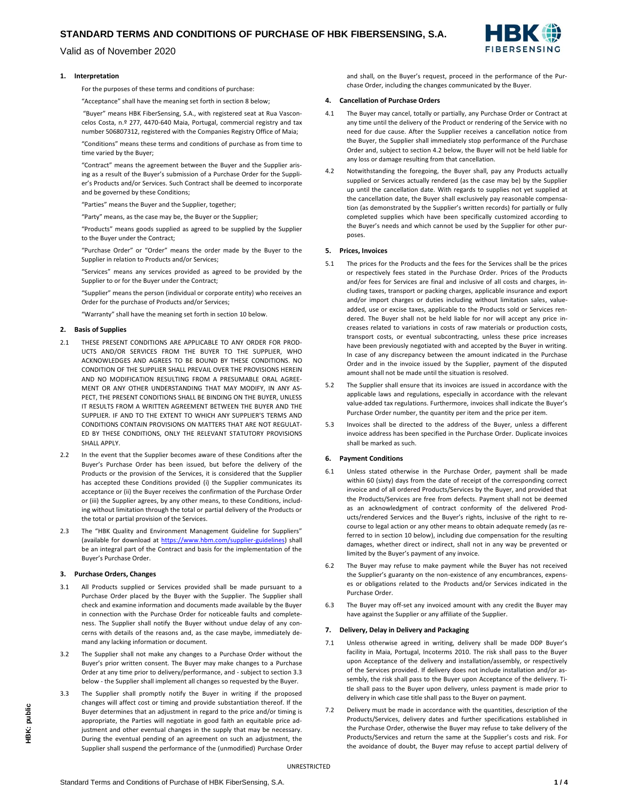# **STANDARD TERMS AND CONDITIONS OF PURCHASE OF HBK FIBERSENSING, S.A.**

Valid as of November 2020



For the purposes of these terms and conditions of purchase:

"Acceptance" shall have the meaning set forth in section 8 below;

"Buyer" means HBK FiberSensing, S.A., with registered seat at Rua Vasconcelos Costa, n.º 277, 4470-640 Maia, Portugal, commercial registry and tax number 506807312, registered with the Companies Registry Office of Maia;

"Conditions" means these terms and conditions of purchase as from time to time varied by the Buyer;

"Contract" means the agreement between the Buyer and the Supplier arising as a result of the Buyer's submission of a Purchase Order for the Supplier's Products and/or Services. Such Contract shall be deemed to incorporate and be governed by these Conditions;

"Parties" means the Buyer and the Supplier, together;

"Party" means, as the case may be, the Buyer or the Supplier;

"Products" means goods supplied as agreed to be supplied by the Supplier to the Buyer under the Contract;

"Purchase Order" or "Order" means the order made by the Buyer to the Supplier in relation to Products and/or Services;

"Services" means any services provided as agreed to be provided by the Supplier to or for the Buyer under the Contract;

"Supplier" means the person (individual or corporate entity) who receives an Order for the purchase of Products and/or Services;

"Warranty" shall have the meaning set forth in section 10 below.

#### **2. Basis of Supplies**

- 2.1 THESE PRESENT CONDITIONS ARE APPLICABLE TO ANY ORDER FOR PROD-UCTS AND/OR SERVICES FROM THE BUYER TO THE SUPPLIER, WHO ACKNOWLEDGES AND AGREES TO BE BOUND BY THESE CONDITIONS. NO CONDITION OF THE SUPPLIER SHALL PREVAIL OVER THE PROVISIONS HEREIN AND NO MODIFICATION RESULTING FROM A PRESUMABLE ORAL AGREE-MENT OR ANY OTHER UNDERSTANDING THAT MAY MODIFY, IN ANY AS-PECT, THE PRESENT CONDITIONS SHALL BE BINDING ON THE BUYER, UNLESS IT RESULTS FROM A WRITTEN AGREEMENT BETWEEN THE BUYER AND THE SUPPLIER. IF AND TO THE EXTENT TO WHICH ANY SUPPLIER'S TERMS AND CONDITIONS CONTAIN PROVISIONS ON MATTERS THAT ARE NOT REGULAT-ED BY THESE CONDITIONS, ONLY THE RELEVANT STATUTORY PROVISIONS SHALL APPLY.
- 2.2 In the event that the Supplier becomes aware of these Conditions after the Buyer's Purchase Order has been issued, but before the delivery of the Products or the provision of the Services, it is considered that the Supplier has accepted these Conditions provided (i) the Supplier communicates its acceptance or (ii) the Buyer receives the confirmation of the Purchase Order or (iii) the Supplier agrees, by any other means, to these Conditions, including without limitation through the total or partial delivery of the Products or the total or partial provision of the Services.
- 2.3 The "HBK Quality and Environment Management Guideline for Suppliers" (available for download at [https://www.hbm.com/supplier-guidelines\)](https://www.hbm.com/fileadmin/mediapool/files/about-us/supplier-portal/Leitlinie_fuer_Lieferanten_2020-08_EN.pdf) shall be an integral part of the Contract and basis for the implementation of the Buyer's Purchase Order.

#### **3. Purchase Orders, Changes**

- 3.1 All Products supplied or Services provided shall be made pursuant to a Purchase Order placed by the Buyer with the Supplier. The Supplier shall check and examine information and documents made available by the Buyer in connection with the Purchase Order for noticeable faults and completeness. The Supplier shall notify the Buyer without undue delay of any concerns with details of the reasons and, as the case maybe, immediately demand any lacking information or document.
- 3.2 The Supplier shall not make any changes to a Purchase Order without the Buyer's prior written consent. The Buyer may make changes to a Purchase Order at any time prior to delivery/performance, and - subject to section 3.3 below - the Supplier shall implement all changes so requested by the Buyer.
- 3.3 The Supplier shall promptly notify the Buyer in writing if the proposed changes will affect cost or timing and provide substantiation thereof. If the Buyer determines that an adjustment in regard to the price and/or timing is appropriate, the Parties will negotiate in good faith an equitable price adjustment and other eventual changes in the supply that may be necessary. During the eventual pending of an agreement on such an adjustment, the Supplier shall suspend the performance of the (unmodified) Purchase Order

and shall, on the Buyer's request, proceed in the performance of the Purchase Order, including the changes communicated by the Buyer.

#### **4. Cancellation of Purchase Orders**

- 4.1 The Buyer may cancel, totally or partially, any Purchase Order or Contract at any time until the delivery of the Product or rendering of the Service with no need for due cause. After the Supplier receives a cancellation notice from the Buyer, the Supplier shall immediately stop performance of the Purchase Order and, subject to section 4.2 below, the Buyer will not be held liable for any loss or damage resulting from that cancellation.
- 4.2 Notwithstanding the foregoing, the Buyer shall, pay any Products actually supplied or Services actually rendered (as the case may be) by the Supplier up until the cancellation date. With regards to supplies not yet supplied at the cancellation date, the Buyer shall exclusively pay reasonable compensation (as demonstrated by the Supplier's written records) for partially or fully completed supplies which have been specifically customized according to the Buyer's needs and which cannot be used by the Supplier for other purposes.

### **5. Prices, Invoices**

- 5.1 The prices for the Products and the fees for the Services shall be the prices or respectively fees stated in the Purchase Order. Prices of the Products and/or fees for Services are final and inclusive of all costs and charges, including taxes, transport or packing charges, applicable insurance and export and/or import charges or duties including without limitation sales, valueadded, use or excise taxes, applicable to the Products sold or Services rendered. The Buyer shall not be held liable for nor will accept any price increases related to variations in costs of raw materials or production costs, transport costs, or eventual subcontracting, unless these price increases have been previously negotiated with and accepted by the Buyer in writing. In case of any discrepancy between the amount indicated in the Purchase Order and in the invoice issued by the Supplier, payment of the disputed amount shall not be made until the situation is resolved.
- 5.2 The Supplier shall ensure that its invoices are issued in accordance with the applicable laws and regulations, especially in accordance with the relevant value-added tax regulations. Furthermore, invoices shall indicate the Buyer's Purchase Order number, the quantity per item and the price per item.
- 5.3 Invoices shall be directed to the address of the Buyer, unless a different invoice address has been specified in the Purchase Order. Duplicate invoices shall be marked as such.

### **6. Payment Conditions**

- 6.1 Unless stated otherwise in the Purchase Order, payment shall be made within 60 (sixty) days from the date of receipt of the corresponding correct invoice and of all ordered Products/Services by the Buyer, and provided that the Products/Services are free from defects. Payment shall not be deemed as an acknowledgment of contract conformity of the delivered Products/rendered Services and the Buyer's rights, inclusive of the right to recourse to legal action or any other means to obtain adequate remedy (as referred to in section 10 below), including due compensation for the resulting damages, whether direct or indirect, shall not in any way be prevented or limited by the Buyer's payment of any invoice.
- 6.2 The Buyer may refuse to make payment while the Buyer has not received the Supplier's guaranty on the non-existence of any encumbrances, expenses or obligations related to the Products and/or Services indicated in the Purchase Order.
- 6.3 The Buyer may off-set any invoiced amount with any credit the Buyer may have against the Supplier or any affiliate of the Supplier.

#### **7. Delivery, Delay in Delivery and Packaging**

- 7.1 Unless otherwise agreed in writing, delivery shall be made DDP Buyer's facility in Maia, Portugal, Incoterms 2010. The risk shall pass to the Buyer upon Acceptance of the delivery and installation/assembly, or respectively of the Services provided. If delivery does not include installation and/or assembly, the risk shall pass to the Buyer upon Acceptance of the delivery. Title shall pass to the Buyer upon delivery, unless payment is made prior to delivery in which case title shall pass to the Buyer on payment.
- 7.2 Delivery must be made in accordance with the quantities, description of the Products/Services, delivery dates and further specifications established in the Purchase Order, otherwise the Buyer may refuse to take delivery of the Products/Services and return the same at the Supplier's costs and risk. For the avoidance of doubt, the Buyer may refuse to accept partial delivery of

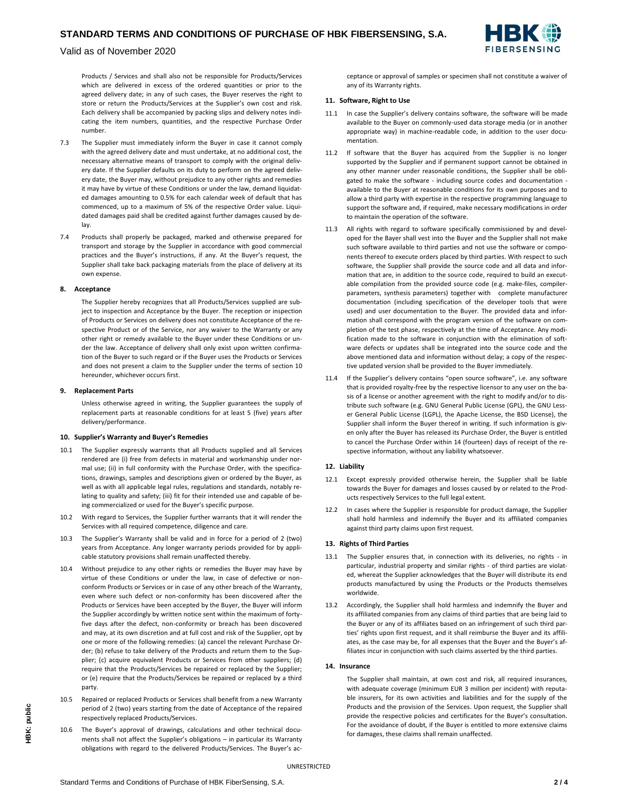

Valid as of November 2020

Products / Services and shall also not be responsible for Products/Services which are delivered in excess of the ordered quantities or prior to the agreed delivery date; in any of such cases, the Buyer reserves the right to store or return the Products/Services at the Supplier's own cost and risk. Each delivery shall be accompanied by packing slips and delivery notes indicating the item numbers, quantities, and the respective Purchase Order number.

- 7.3 The Supplier must immediately inform the Buyer in case it cannot comply with the agreed delivery date and must undertake, at no additional cost, the necessary alternative means of transport to comply with the original delivery date. If the Supplier defaults on its duty to perform on the agreed delivery date, the Buyer may, without prejudice to any other rights and remedies it may have by virtue of these Conditions or under the law, demand liquidated damages amounting to 0.5% for each calendar week of default that has commenced, up to a maximum of 5% of the respective Order value. Liquidated damages paid shall be credited against further damages caused by delay.
- 7.4 Products shall properly be packaged, marked and otherwise prepared for transport and storage by the Supplier in accordance with good commercial practices and the Buyer's instructions, if any. At the Buyer's request, the Supplier shall take back packaging materials from the place of delivery at its own expense.

#### **8. Acceptance**

The Supplier hereby recognizes that all Products/Services supplied are subject to inspection and Acceptance by the Buyer. The reception or inspection of Products or Services on delivery does not constitute Acceptance of the respective Product or of the Service, nor any waiver to the Warranty or any other right or remedy available to the Buyer under these Conditions or under the law. Acceptance of delivery shall only exist upon written confirmation of the Buyer to such regard or if the Buyer uses the Products or Services and does not present a claim to the Supplier under the terms of section 10 hereunder, whichever occurs first.

#### **9. Replacement Parts**

Unless otherwise agreed in writing, the Supplier guarantees the supply of replacement parts at reasonable conditions for at least 5 (five) years after delivery/performance.

# **10. Supplier's Warranty and Buyer's Remedies**

- 10.1 The Supplier expressly warrants that all Products supplied and all Services rendered are (i) free from defects in material and workmanship under normal use; (ii) in full conformity with the Purchase Order, with the specifications, drawings, samples and descriptions given or ordered by the Buyer, as well as with all applicable legal rules, regulations and standards, notably relating to quality and safety; (iii) fit for their intended use and capable of being commercialized or used for the Buyer's specific purpose.
- 10.2 With regard to Services, the Supplier further warrants that it will render the Services with all required competence, diligence and care.
- 10.3 The Supplier's Warranty shall be valid and in force for a period of 2 (two) years from Acceptance. Any longer warranty periods provided for by applicable statutory provisions shall remain unaffected thereby.
- 10.4 Without prejudice to any other rights or remedies the Buyer may have by virtue of these Conditions or under the law, in case of defective or nonconform Products or Services or in case of any other breach of the Warranty, even where such defect or non-conformity has been discovered after the Products or Services have been accepted by the Buyer, the Buyer will inform the Supplier accordingly by written notice sent within the maximum of fortyfive days after the defect, non-conformity or breach has been discovered and may, at its own discretion and at full cost and risk of the Supplier, opt by one or more of the following remedies: (a) cancel the relevant Purchase Order; (b) refuse to take delivery of the Products and return them to the Supplier; (c) acquire equivalent Products or Services from other suppliers; (d) require that the Products/Services be repaired or replaced by the Supplier; or (e) require that the Products/Services be repaired or replaced by a third party.
- 10.5 Repaired or replaced Products or Services shall benefit from a new Warranty period of 2 (two) years starting from the date of Acceptance of the repaired respectively replaced Products/Services.
- 10.6 The Buyer's approval of drawings, calculations and other technical documents shall not affect the Supplier's obligations – in particular its Warranty obligations with regard to the delivered Products/Services. The Buyer's ac-

ceptance or approval of samples or specimen shall not constitute a waiver of any of its Warranty rights.

#### **11. Software, Right to Use**

- 11.1 In case the Supplier's delivery contains software, the software will be made available to the Buyer on commonly-used data storage media (or in another appropriate way) in machine-readable code, in addition to the user documentation.
- 11.2 If software that the Buyer has acquired from the Supplier is no longer supported by the Supplier and if permanent support cannot be obtained in any other manner under reasonable conditions, the Supplier shall be obligated to make the software - including source codes and documentation available to the Buyer at reasonable conditions for its own purposes and to allow a third party with expertise in the respective programming language to support the software and, if required, make necessary modifications in order to maintain the operation of the software.
- 11.3 All rights with regard to software specifically commissioned by and developed for the Bayer shall vest into the Buyer and the Supplier shall not make such software available to third parties and not use the software or components thereof to execute orders placed by third parties. With respect to such software, the Supplier shall provide the source code and all data and information that are, in addition to the source code, required to build an executable compilation from the provided source code (e.g. make-files, compilerparameters, synthesis parameters) together with complete manufacturer documentation (including specification of the developer tools that were used) and user documentation to the Buyer. The provided data and information shall correspond with the program version of the software on completion of the test phase, respectively at the time of Acceptance. Any modification made to the software in conjunction with the elimination of software defects or updates shall be integrated into the source code and the above mentioned data and information without delay; a copy of the respective updated version shall be provided to the Buyer immediately.
- 11.4 If the Supplier's delivery contains "open source software", i.e. any software that is provided royalty-free by the respective licensor to any user on the basis of a license or another agreement with the right to modify and/or to distribute such software (e.g. GNU General Public License (GPL), the GNU Lesser General Public License (LGPL), the Apache License, the BSD License), the Supplier shall inform the Buyer thereof in writing. If such information is given only after the Buyer has released its Purchase Order, the Buyer is entitled to cancel the Purchase Order within 14 (fourteen) days of receipt of the respective information, without any liability whatsoever.

### **12. Liability**

- 12.1 Except expressly provided otherwise herein, the Supplier shall be liable towards the Buyer for damages and losses caused by or related to the Products respectively Services to the full legal extent.
- 12.2 In cases where the Supplier is responsible for product damage, the Supplier shall hold harmless and indemnify the Buyer and its affiliated companies against third party claims upon first request.

# **13. Rights of Third Parties**

- 13.1 The Supplier ensures that, in connection with its deliveries, no rights in particular, industrial property and similar rights - of third parties are violated, whereat the Supplier acknowledges that the Buyer will distribute its end products manufactured by using the Products or the Products themselves worldwide.
- 13.2 Accordingly, the Supplier shall hold harmless and indemnify the Buyer and its affiliated companies from any claims of third parties that are being laid to the Buyer or any of its affiliates based on an infringement of such third parties' rights upon first request, and it shall reimburse the Buyer and its affiliates, as the case may be, for all expenses that the Buyer and the Buyer's affiliates incur in conjunction with such claims asserted by the third parties.

# **14. Insurance**

The Supplier shall maintain, at own cost and risk, all required insurances, with adequate coverage (minimum EUR 3 million per incident) with reputable insurers, for its own activities and liabilities and for the supply of the Products and the provision of the Services. Upon request, the Supplier shall provide the respective policies and certificates for the Buyer's consultation. For the avoidance of doubt, if the Buyer is entitled to more extensive claims for damages, these claims shall remain unaffected.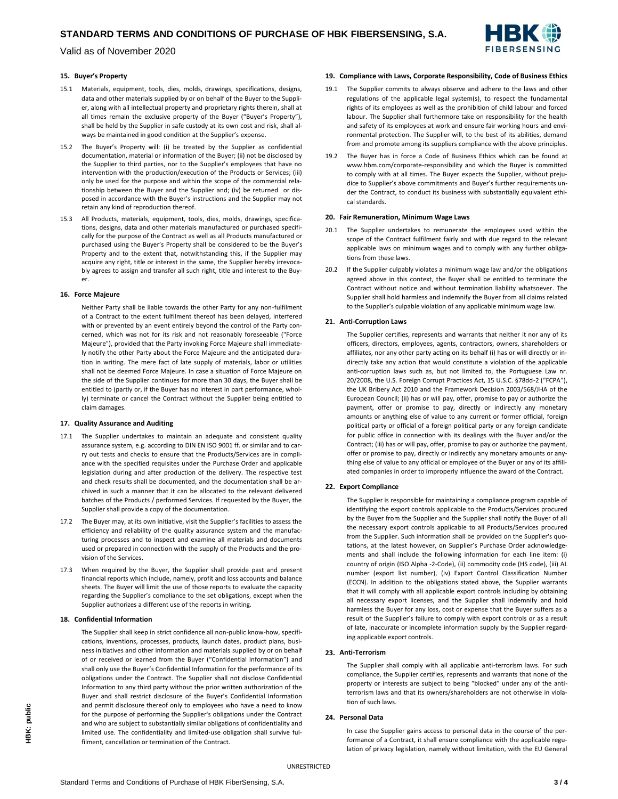

Valid as of November 2020

# **15. Buyer's Property**

- 15.1 Materials, equipment, tools, dies, molds, drawings, specifications, designs, data and other materials supplied by or on behalf of the Buyer to the Supplier, along with all intellectual property and proprietary rights therein, shall at all times remain the exclusive property of the Buyer ("Buyer's Property"), shall be held by the Supplier in safe custody at its own cost and risk, shall always be maintained in good condition at the Supplier's expense.
- 15.2 The Buyer's Property will: (i) be treated by the Supplier as confidential documentation, material or information of the Buyer; (ii) not be disclosed by the Supplier to third parties, nor to the Supplier's employees that have no intervention with the production/execution of the Products or Services; (iii) only be used for the purpose and within the scope of the commercial relationship between the Buyer and the Supplier and; (iv) be returned or disposed in accordance with the Buyer's instructions and the Supplier may not retain any kind of reproduction thereof.
- 15.3 All Products, materials, equipment, tools, dies, molds, drawings, specifications, designs, data and other materials manufactured or purchased specifically for the purpose of the Contract as well as all Products manufactured or purchased using the Buyer's Property shall be considered to be the Buyer's Property and to the extent that, notwithstanding this, if the Supplier may acquire any right, title or interest in the same, the Supplier hereby irrevocably agrees to assign and transfer all such right, title and interest to the Buyer.

### **16. Force Majeure**

Neither Party shall be liable towards the other Party for any non-fulfilment of a Contract to the extent fulfilment thereof has been delayed, interfered with or prevented by an event entirely beyond the control of the Party concerned, which was not for its risk and not reasonably foreseeable ("Force Majeure"), provided that the Party invoking Force Majeure shall immediately notify the other Party about the Force Majeure and the anticipated duration in writing. The mere fact of late supply of materials, labor or utilities shall not be deemed Force Majeure. In case a situation of Force Majeure on the side of the Supplier continues for more than 30 days, the Buyer shall be entitled to (partly or, if the Buyer has no interest in part performance, wholly) terminate or cancel the Contract without the Supplier being entitled to claim damages.

### **17. Quality Assurance and Auditing**

- 17.1 The Supplier undertakes to maintain an adequate and consistent quality assurance system, e.g. according to DIN EN ISO 9001 ff. or similar and to carry out tests and checks to ensure that the Products/Services are in compliance with the specified requisites under the Purchase Order and applicable legislation during and after production of the delivery. The respective test and check results shall be documented, and the documentation shall be archived in such a manner that it can be allocated to the relevant delivered batches of the Products / performed Services. If requested by the Buyer, the Supplier shall provide a copy of the documentation.
- 17.2 The Buyer may, at its own initiative, visit the Supplier's facilities to assess the efficiency and reliability of the quality assurance system and the manufacturing processes and to inspect and examine all materials and documents used or prepared in connection with the supply of the Products and the provision of the Services.
- When required by the Buyer, the Supplier shall provide past and present financial reports which include, namely, profit and loss accounts and balance sheets. The Buyer will limit the use of those reports to evaluate the capacity regarding the Supplier's compliance to the set obligations, except when the Supplier authorizes a different use of the reports in writing.

### **18. Confidential Information**

The Supplier shall keep in strict confidence all non-public know-how, specifications, inventions, processes, products, launch dates, product plans, business initiatives and other information and materials supplied by or on behalf of or received or learned from the Buyer ("Confidential Information") and shall only use the Buyer's Confidential Information for the performance of its obligations under the Contract. The Supplier shall not disclose Confidential Information to any third party without the prior written authorization of the Buyer and shall restrict disclosure of the Buyer's Confidential Information and permit disclosure thereof only to employees who have a need to know for the purpose of performing the Supplier's obligations under the Contract and who are subject to substantially similar obligations of confidentiality and limited use. The confidentiality and limited-use obligation shall survive fulfilment, cancellation or termination of the Contract.

# **19. Compliance with Laws, Corporate Responsibility, Code of Business Ethics**

- 19.1 The Supplier commits to always observe and adhere to the laws and other regulations of the applicable legal system(s), to respect the fundamental rights of its employees as well as the prohibition of child labour and forced labour. The Supplier shall furthermore take on responsibility for the health and safety of its employees at work and ensure fair working hours and environmental protection. The Supplier will, to the best of its abilities, demand from and promote among its suppliers compliance with the above principles.
- 19.2 The Buyer has in force a Code of Business Ethics which can be found at www.hbm.com/corporate-responsibility and which the Buyer is committed to comply with at all times. The Buyer expects the Supplier, without prejudice to Supplier's above commitments and Buyer's further requirements under the Contract, to conduct its business with substantially equivalent ethical standards.

#### **20. Fair Remuneration, Minimum Wage Laws**

- 20.1 The Supplier undertakes to remunerate the employees used within the scope of the Contract fulfilment fairly and with due regard to the relevant applicable laws on minimum wages and to comply with any further obligations from these laws.
- 20.2 If the Supplier culpably violates a minimum wage law and/or the obligations agreed above in this context, the Buyer shall be entitled to terminate the Contract without notice and without termination liability whatsoever. The Supplier shall hold harmless and indemnify the Buyer from all claims related to the Supplier's culpable violation of any applicable minimum wage law.

#### **21. Anti-Corruption Laws**

The Supplier certifies, represents and warrants that neither it nor any of its officers, directors, employees, agents, contractors, owners, shareholders or affiliates, nor any other party acting on its behalf (i) has or will directly or indirectly take any action that would constitute a violation of the applicable anti-corruption laws such as, but not limited to, the Portuguese Law nr. 20/2008, the U.S. Foreign Corrupt Practices Act, 15 U.S.C. §78dd-2 ("FCPA"), the UK Bribery Act 2010 and the Framework Decision 2003/568/JHA of the European Council; (ii) has or will pay, offer, promise to pay or authorize the payment, offer or promise to pay, directly or indirectly any monetary amounts or anything else of value to any current or former official, foreign political party or official of a foreign political party or any foreign candidate for public office in connection with its dealings with the Buyer and/or the Contract; (iii) has or will pay, offer, promise to pay or authorize the payment, offer or promise to pay, directly or indirectly any monetary amounts or anything else of value to any official or employee of the Buyer or any of its affiliated companies in order to improperly influence the award of the Contract.

### **22. Export Compliance**

The Supplier is responsible for maintaining a compliance program capable of identifying the export controls applicable to the Products/Services procured by the Buyer from the Supplier and the Supplier shall notify the Buyer of all the necessary export controls applicable to all Products/Services procured from the Supplier. Such information shall be provided on the Supplier's quotations, at the latest however, on Supplier's Purchase Order acknowledgements and shall include the following information for each line item: (i) country of origin (ISO Alpha -2-Code), (ii) commodity code (HS code), (iii) AL number (export list number), (iv) Export Control Classification Number (ECCN). In addition to the obligations stated above, the Supplier warrants that it will comply with all applicable export controls including by obtaining all necessary export licenses, and the Supplier shall indemnify and hold harmless the Buyer for any loss, cost or expense that the Buyer suffers as a result of the Supplier's failure to comply with export controls or as a result of late, inaccurate or incomplete information supply by the Supplier regarding applicable export controls.

### **23. Anti-Terrorism**

The Supplier shall comply with all applicable anti-terrorism laws. For such compliance, the Supplier certifies, represents and warrants that none of the property or interests are subject to being "blocked" under any of the antiterrorism laws and that its owners/shareholders are not otherwise in violation of such laws.

# **24. Personal Data**

In case the Supplier gains access to personal data in the course of the performance of a Contract, it shall ensure compliance with the applicable regulation of privacy legislation, namely without limitation, with the EU General